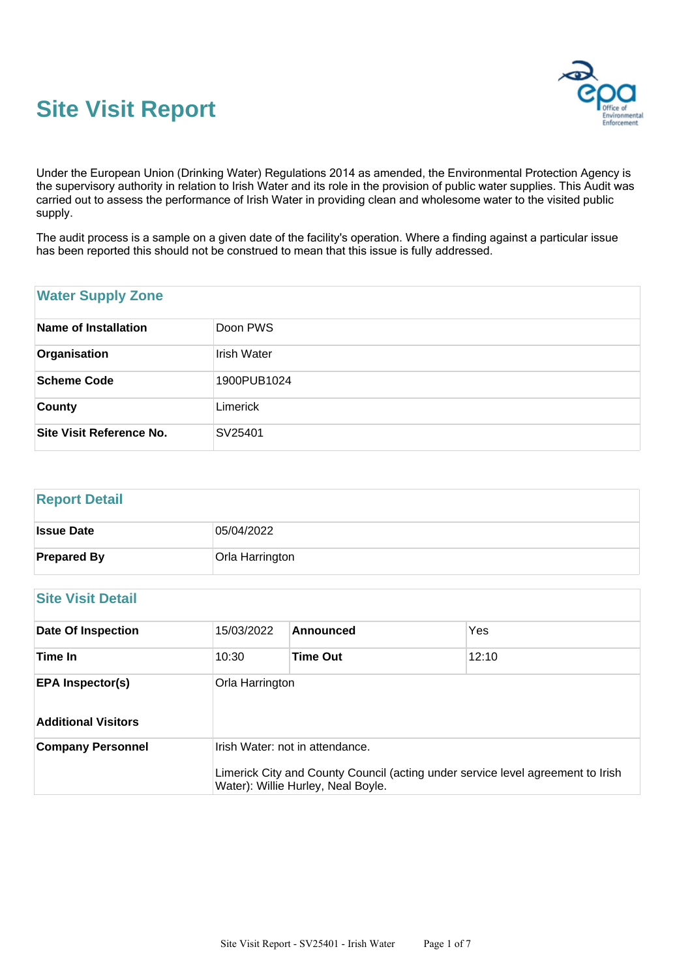



Under the European Union (Drinking Water) Regulations 2014 as amended, the Environmental Protection Agency is the supervisory authority in relation to Irish Water and its role in the provision of public water supplies. This Audit was carried out to assess the performance of Irish Water in providing clean and wholesome water to the visited public supply.

The audit process is a sample on a given date of the facility's operation. Where a finding against a particular issue has been reported this should not be construed to mean that this issue is fully addressed.

## **Water Supply Zone**

| Name of Installation            | Doon PWS    |
|---------------------------------|-------------|
| Organisation                    | Irish Water |
| Scheme Code                     | 1900PUB1024 |
| <b>County</b>                   | Limerick    |
| <b>Site Visit Reference No.</b> | SV25401     |

### **Report Detail**

| <b>Issue Date</b>  | 05/04/2022      |
|--------------------|-----------------|
| <b>Prepared By</b> | Orla Harrington |

## **Site Visit Detail**

| <b>Date Of Inspection</b>                             | 15/03/2022      | Announced                                                                                                                                                | Yes   |  |
|-------------------------------------------------------|-----------------|----------------------------------------------------------------------------------------------------------------------------------------------------------|-------|--|
| Time In                                               | 10:30           | <b>Time Out</b>                                                                                                                                          | 12:10 |  |
| <b>EPA Inspector(s)</b><br><b>Additional Visitors</b> | Orla Harrington |                                                                                                                                                          |       |  |
| <b>Company Personnel</b>                              |                 | Irish Water: not in attendance.<br>Limerick City and County Council (acting under service level agreement to Irish<br>Water): Willie Hurley, Neal Boyle. |       |  |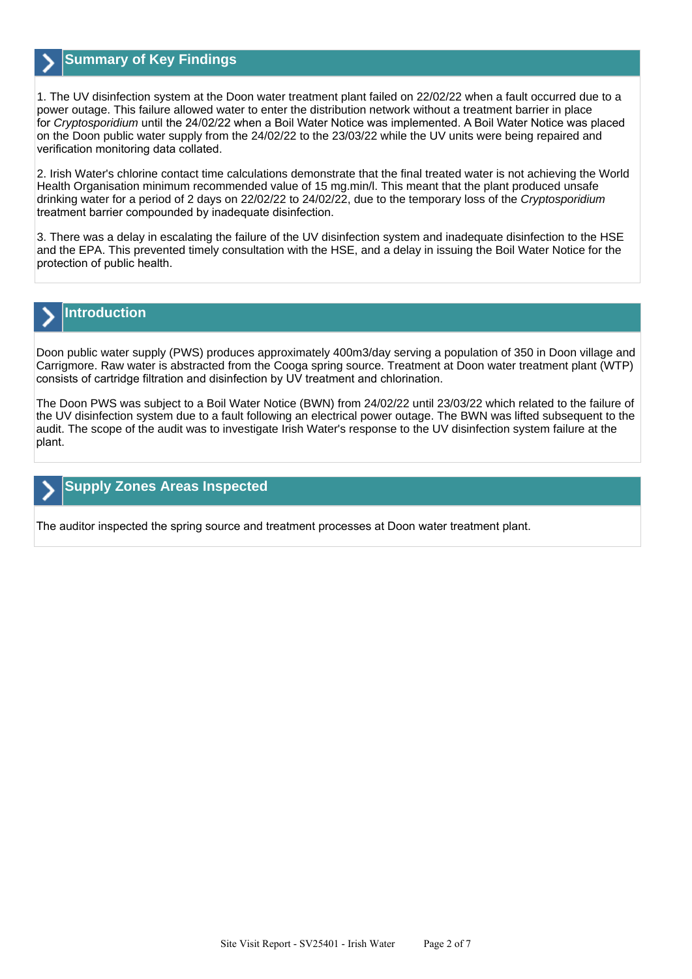

## **Summary of Key Findings**

1. The UV disinfection system at the Doon water treatment plant failed on 22/02/22 when a fault occurred due to a power outage. This failure allowed water to enter the distribution network without a treatment barrier in place for Cryptosporidium until the 24/02/22 when a Boil Water Notice was implemented. A Boil Water Notice was placed on the Doon public water supply from the 24/02/22 to the 23/03/22 while the UV units were being repaired and verification monitoring data collated.

2. Irish Water's chlorine contact time calculations demonstrate that the final treated water is not achieving the World Health Organisation minimum recommended value of 15 mg.min/l. This meant that the plant produced unsafe drinking water for a period of 2 days on 22/02/22 to 24/02/22, due to the temporary loss of the Cryptosporidium treatment barrier compounded by inadequate disinfection.

3. There was a delay in escalating the failure of the UV disinfection system and inadequate disinfection to the HSE and the EPA. This prevented timely consultation with the HSE, and a delay in issuing the Boil Water Notice for the protection of public health.

# **Introduction**

Doon public water supply (PWS) produces approximately 400m3/day serving a population of 350 in Doon village and Carrigmore. Raw water is abstracted from the Cooga spring source. Treatment at Doon water treatment plant (WTP) consists of cartridge filtration and disinfection by UV treatment and chlorination.

The Doon PWS was subject to a Boil Water Notice (BWN) from 24/02/22 until 23/03/22 which related to the failure of the UV disinfection system due to a fault following an electrical power outage. The BWN was lifted subsequent to the audit. The scope of the audit was to investigate Irish Water's response to the UV disinfection system failure at the plant.

## **Supply Zones Areas Inspected**

The auditor inspected the spring source and treatment processes at Doon water treatment plant.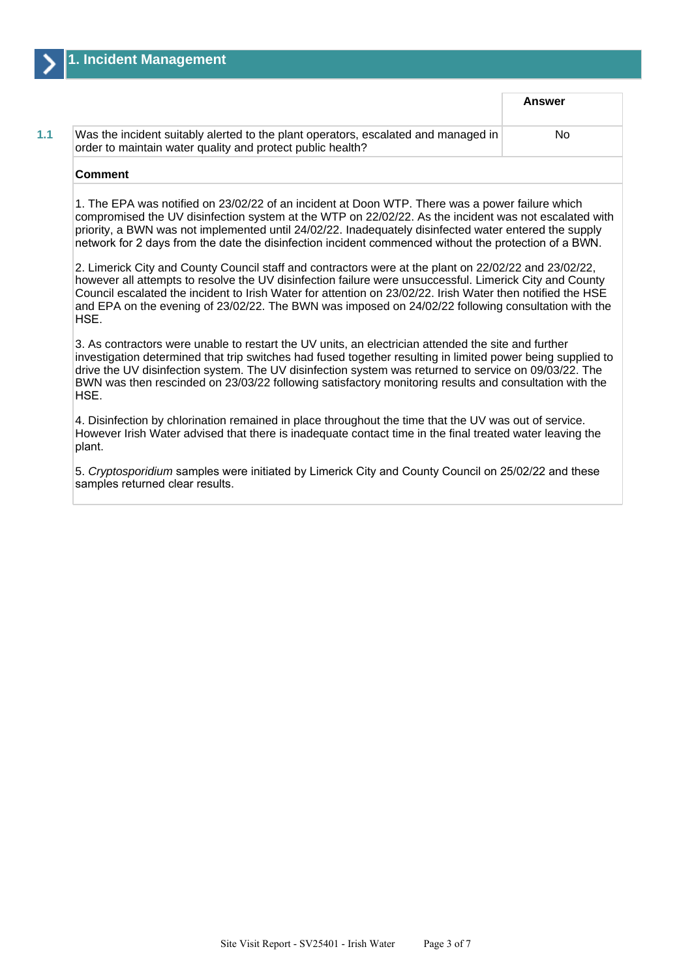|                                                                                                                                                  | <b>Answer</b> |
|--------------------------------------------------------------------------------------------------------------------------------------------------|---------------|
| Was the incident suitably alerted to the plant operators, escalated and managed in<br>order to maintain water quality and protect public health? | No.           |

#### **Comment**

1. The EPA was notified on 23/02/22 of an incident at Doon WTP. There was a power failure which compromised the UV disinfection system at the WTP on 22/02/22. As the incident was not escalated with priority, a BWN was not implemented until 24/02/22. Inadequately disinfected water entered the supply network for 2 days from the date the disinfection incident commenced without the protection of a BWN.

2. Limerick City and County Council staff and contractors were at the plant on 22/02/22 and 23/02/22, however all attempts to resolve the UV disinfection failure were unsuccessful. Limerick City and County Council escalated the incident to Irish Water for attention on 23/02/22. Irish Water then notified the HSE and EPA on the evening of 23/02/22. The BWN was imposed on 24/02/22 following consultation with the HSE.

3. As contractors were unable to restart the UV units, an electrician attended the site and further investigation determined that trip switches had fused together resulting in limited power being supplied to drive the UV disinfection system. The UV disinfection system was returned to service on 09/03/22. The BWN was then rescinded on 23/03/22 following satisfactory monitoring results and consultation with the HSE.

4. Disinfection by chlorination remained in place throughout the time that the UV was out of service. However Irish Water advised that there is inadequate contact time in the final treated water leaving the plant.

5. Cryptosporidium samples were initiated by Limerick City and County Council on 25/02/22 and these samples returned clear results.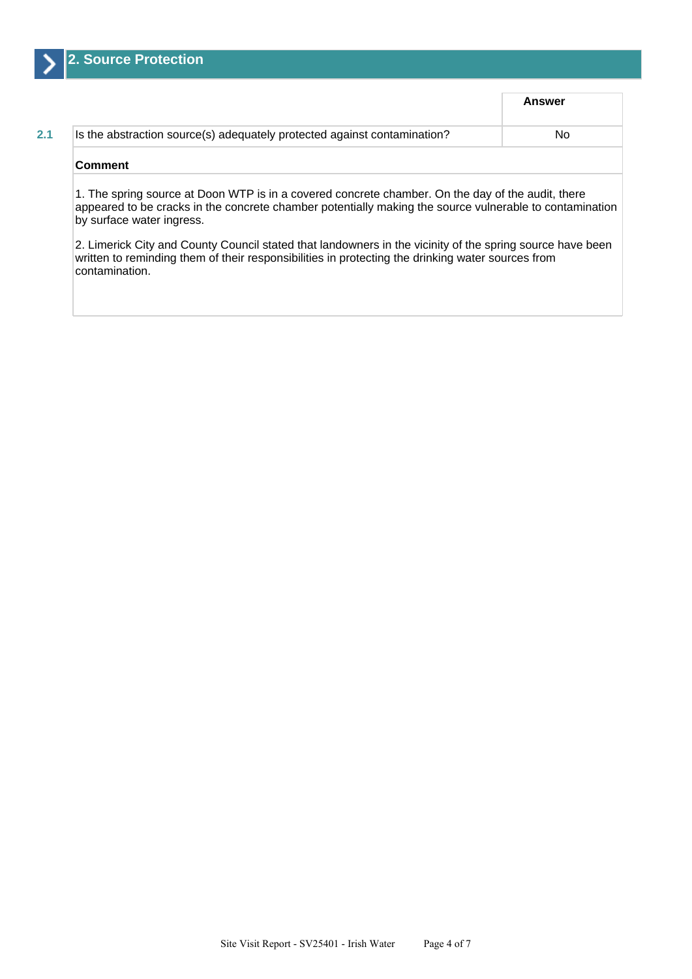

|                                                                          | Answer |
|--------------------------------------------------------------------------|--------|
| Is the abstraction source(s) adequately protected against contamination? | No     |
| <b>Comment</b>                                                           |        |

by surface water ingress.

2. Limerick City and County Council stated that landowners in the vicinity of the spring source have been written to reminding them of their responsibilities in protecting the drinking water sources from contamination.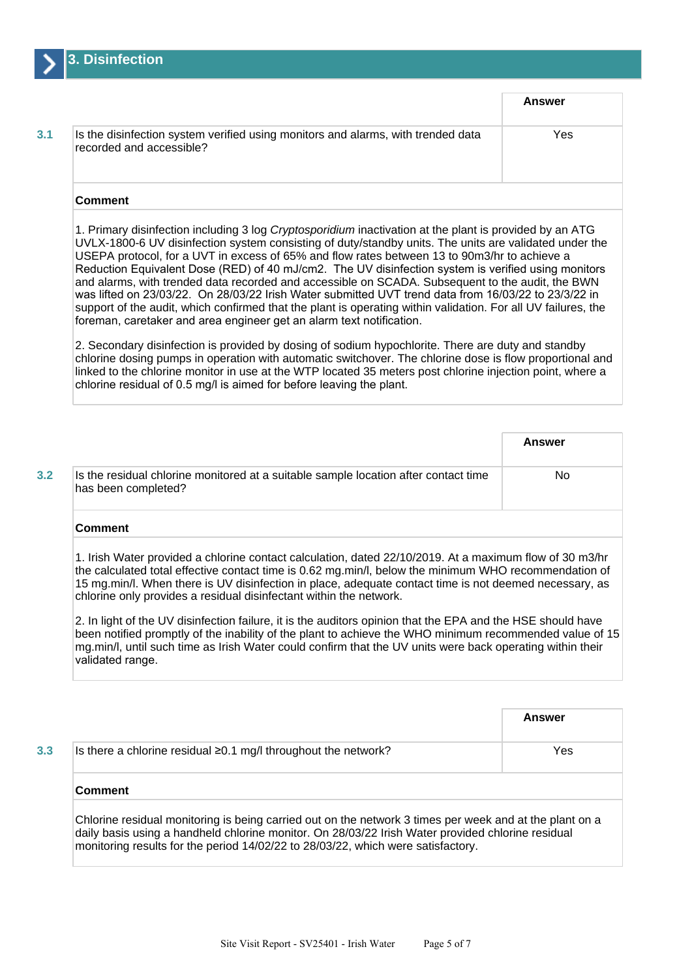

|                                                                                                              | Answer |
|--------------------------------------------------------------------------------------------------------------|--------|
| Is the disinfection system verified using monitors and alarms, with trended data<br>recorded and accessible? | Yes    |
| Gamma                                                                                                        |        |

### **Comment**

1. Primary disinfection including 3 log Cryptosporidium inactivation at the plant is provided by an ATG UVLX-1800-6 UV disinfection system consisting of duty/standby units. The units are validated under the USEPA protocol, for a UVT in excess of 65% and flow rates between 13 to 90m3/hr to achieve a Reduction Equivalent Dose (RED) of 40 mJ/cm2. The UV disinfection system is verified using monitors and alarms, with trended data recorded and accessible on SCADA. Subsequent to the audit, the BWN was lifted on 23/03/22. On 28/03/22 Irish Water submitted UVT trend data from 16/03/22 to 23/3/22 in support of the audit, which confirmed that the plant is operating within validation. For all UV failures, the foreman, caretaker and area engineer get an alarm text notification.

2. Secondary disinfection is provided by dosing of sodium hypochlorite. There are duty and standby chlorine dosing pumps in operation with automatic switchover. The chlorine dose is flow proportional and linked to the chlorine monitor in use at the WTP located 35 meters post chlorine injection point, where a chlorine residual of 0.5 mg/l is aimed for before leaving the plant.

|                                                                                                            | Answer |
|------------------------------------------------------------------------------------------------------------|--------|
| Is the residual chlorine monitored at a suitable sample location after contact time<br>has been completed? | No     |
| Commont                                                                                                    |        |

#### **Comment**

1. Irish Water provided a chlorine contact calculation, dated 22/10/2019. At a maximum flow of 30 m3/hr the calculated total effective contact time is 0.62 mg.min/l, below the minimum WHO recommendation of 15 mg.min/l. When there is UV disinfection in place, adequate contact time is not deemed necessary, as chlorine only provides a residual disinfectant within the network.

2. In light of the UV disinfection failure, it is the auditors opinion that the EPA and the HSE should have been notified promptly of the inability of the plant to achieve the WHO minimum recommended value of 15 mg.min/l, until such time as Irish Water could confirm that the UV units were back operating within their validated range.

|                                                                                                                                                                                                                                                                                                  | Answer |  |
|--------------------------------------------------------------------------------------------------------------------------------------------------------------------------------------------------------------------------------------------------------------------------------------------------|--------|--|
| Is there a chlorine residual $\geq$ 0.1 mg/l throughout the network?                                                                                                                                                                                                                             | Yes    |  |
| <b>Comment</b>                                                                                                                                                                                                                                                                                   |        |  |
| Chlorine residual monitoring is being carried out on the network 3 times per week and at the plant on a<br>daily basis using a handheld chlorine monitor. On 28/03/22 Irish Water provided chlorine residual<br>monitoring results for the period 14/02/22 to 28/03/22, which were satisfactory. |        |  |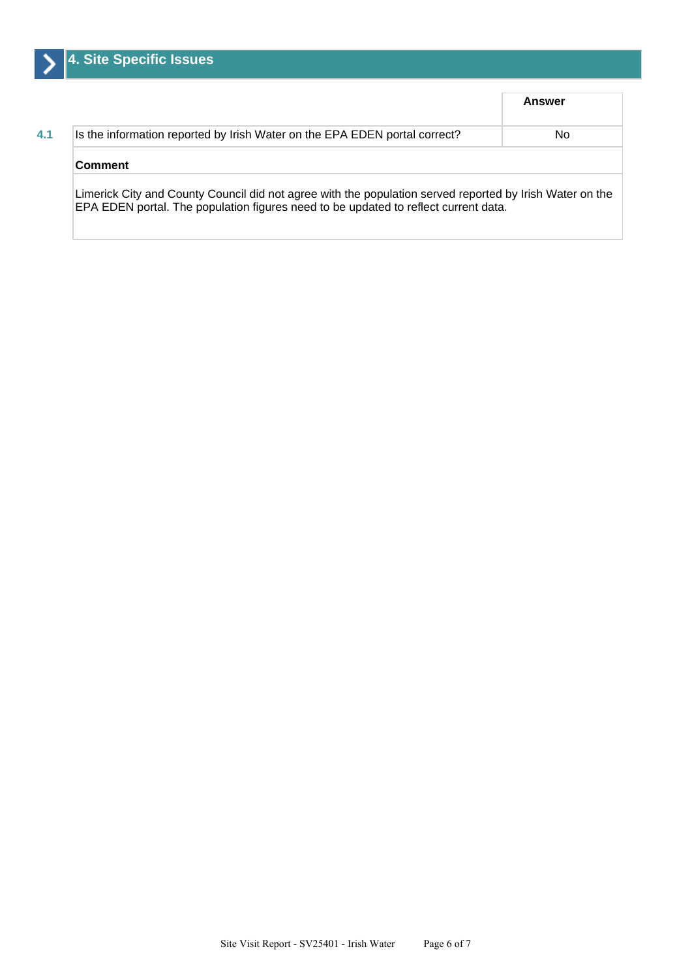|                                                                                                                                                                                                 | Answer |
|-------------------------------------------------------------------------------------------------------------------------------------------------------------------------------------------------|--------|
| Is the information reported by Irish Water on the EPA EDEN portal correct?                                                                                                                      | No.    |
| <b>Comment</b>                                                                                                                                                                                  |        |
| Limerick City and County Council did not agree with the population served reported by Irish Water on the<br>EPA EDEN portal. The population figures need to be updated to reflect current data. |        |